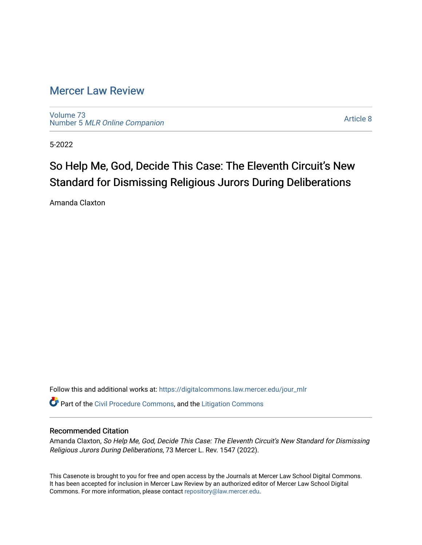# [Mercer Law Review](https://digitalcommons.law.mercer.edu/jour_mlr)

[Volume 73](https://digitalcommons.law.mercer.edu/jour_mlr/vol73) Number 5 [MLR Online Companion](https://digitalcommons.law.mercer.edu/jour_mlr/vol73/iss5) 

[Article 8](https://digitalcommons.law.mercer.edu/jour_mlr/vol73/iss5/8) 

5-2022

# So Help Me, God, Decide This Case: The Eleventh Circuit's New Standard for Dismissing Religious Jurors During Deliberations

Amanda Claxton

Follow this and additional works at: [https://digitalcommons.law.mercer.edu/jour\\_mlr](https://digitalcommons.law.mercer.edu/jour_mlr?utm_source=digitalcommons.law.mercer.edu%2Fjour_mlr%2Fvol73%2Fiss5%2F8&utm_medium=PDF&utm_campaign=PDFCoverPages)

Part of the [Civil Procedure Commons,](https://network.bepress.com/hgg/discipline/584?utm_source=digitalcommons.law.mercer.edu%2Fjour_mlr%2Fvol73%2Fiss5%2F8&utm_medium=PDF&utm_campaign=PDFCoverPages) and the [Litigation Commons](https://network.bepress.com/hgg/discipline/910?utm_source=digitalcommons.law.mercer.edu%2Fjour_mlr%2Fvol73%2Fiss5%2F8&utm_medium=PDF&utm_campaign=PDFCoverPages) 

## Recommended Citation

Amanda Claxton, So Help Me, God, Decide This Case: The Eleventh Circuit's New Standard for Dismissing Religious Jurors During Deliberations, 73 Mercer L. Rev. 1547 (2022).

This Casenote is brought to you for free and open access by the Journals at Mercer Law School Digital Commons. It has been accepted for inclusion in Mercer Law Review by an authorized editor of Mercer Law School Digital Commons. For more information, please contact [repository@law.mercer.edu.](mailto:repository@law.mercer.edu)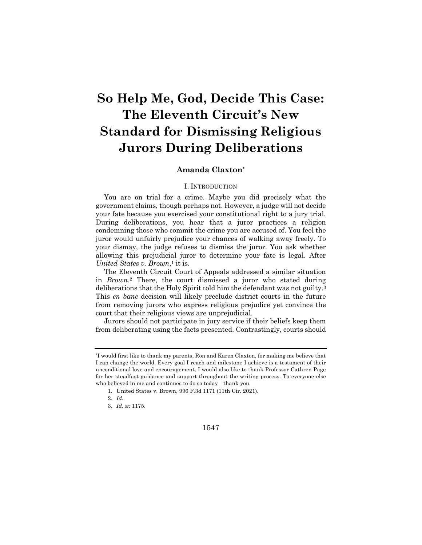# **So Help Me, God, Decide This Case: The Eleventh Circuit's New Standard for Dismissing Religious Jurors During Deliberations**

### **Amanda Claxton\***

#### I. INTRODUCTION

You are on trial for a crime. Maybe you did precisely what the government claims, though perhaps not. However, a judge will not decide your fate because you exercised your constitutional right to a jury trial. During deliberations, you hear that a juror practices a religion condemning those who commit the crime you are accused of. You feel the juror would unfairly prejudice your chances of walking away freely. To your dismay, the judge refuses to dismiss the juror. You ask whether allowing this prejudicial juror to determine your fate is legal. After *United States v. Brown*,1 it is.

The Eleventh Circuit Court of Appeals addressed a similar situation in *Brown*.2 There, the court dismissed a juror who stated during deliberations that the Holy Spirit told him the defendant was not guilty.3 This *en banc* decision will likely preclude district courts in the future from removing jurors who express religious prejudice yet convince the court that their religious views are unprejudicial.

Jurors should not participate in jury service if their beliefs keep them from deliberating using the facts presented. Contrastingly, courts should

<sup>\*</sup>I would first like to thank my parents, Ron and Karen Claxton, for making me believe that I can change the world. Every goal I reach and milestone I achieve is a testament of their unconditional love and encouragement. I would also like to thank Professor Cathren Page for her steadfast guidance and support throughout the writing process. To everyone else who believed in me and continues to do so today—thank you.

<sup>1.</sup> United States v. Brown, 996 F.3d 1171 (11th Cir. 2021).

<sup>2</sup>*. Id.*

<sup>3</sup>*. Id.* at 1175.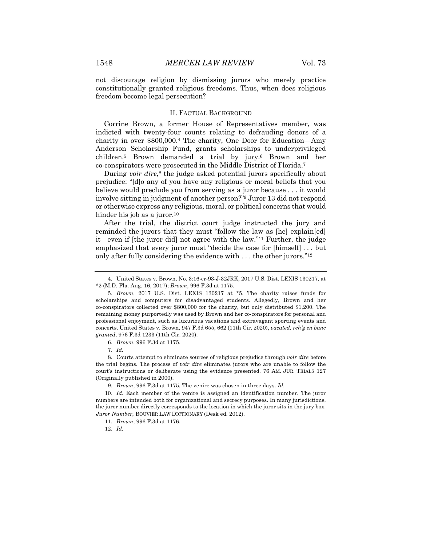not discourage religion by dismissing jurors who merely practice constitutionally granted religious freedoms. Thus, when does religious freedom become legal persecution?

#### II. FACTUAL BACKGROUND

Corrine Brown, a former House of Representatives member, was indicted with twenty-four counts relating to defrauding donors of a charity in over \$800,000.4 The charity, One Door for Education—Amy Anderson Scholarship Fund, grants scholarships to underprivileged children.5 Brown demanded a trial by jury.6 Brown and her co-conspirators were prosecuted in the Middle District of Florida.7

During *voir dire*,8 the judge asked potential jurors specifically about prejudice: "[d]o any of you have any religious or moral beliefs that you believe would preclude you from serving as a juror because . . . it would involve sitting in judgment of another person?"9 Juror 13 did not respond or otherwise express any religious, moral, or political concerns that would hinder his job as a juror.<sup>10</sup>

After the trial, the district court judge instructed the jury and reminded the jurors that they must "follow the law as [he] explain[ed] it—even if [the juror did] not agree with the law."11 Further, the judge emphasized that every juror must "decide the case for [himself] . . . but only after fully considering the evidence with . . . the other jurors."12

<sup>4.</sup> United States v. Brown, No. 3:16-cr-93-J-32JRK, 2017 U.S. Dist. LEXIS 130217, at \*2 (M.D. Fla. Aug. 16, 2017); *Brown*, 996 F.3d at 1175.

<sup>5</sup>*. Brown*, 2017 U.S. Dist. LEXIS 130217 at \*5. The charity raises funds for scholarships and computers for disadvantaged students. Allegedly, Brown and her co-conspirators collected over \$800,000 for the charity, but only distributed \$1,200. The remaining money purportedly was used by Brown and her co-conspirators for personal and professional enjoyment, such as luxurious vacations and extravagant sporting events and concerts. United States v. Brown, 947 F.3d 655, 662 (11th Cir. 2020), *vacated, reh'g en banc granted*, 976 F.3d 1233 (11th Cir. 2020).

<sup>6</sup>*. Brown*, 996 F.3d at 1175.

<sup>7</sup>*. Id.*

<sup>8.</sup> Courts attempt to eliminate sources of religious prejudice through *voir dire* before the trial begins. The process of *voir dire* eliminates jurors who are unable to follow the court's instructions or deliberate using the evidence presented. 76 AM. JUR. TRIALS 127 (Originally published in 2000).

<sup>9</sup>*. Brown*, 996 F.3d at 1175*.* The venire was chosen in three days. *Id.*

<sup>10</sup>*. Id.* Each member of the venire is assigned an identification number. The juror numbers are intended both for organizational and secrecy purposes. In many jurisdictions, the juror number directly corresponds to the location in which the juror sits in the jury box. *Juror Number,* BOUVIER LAW DICTIONARY (Desk ed. 2012).

<sup>11</sup>*. Brown*, 996 F.3d at 1176.

<sup>12</sup>*. Id.*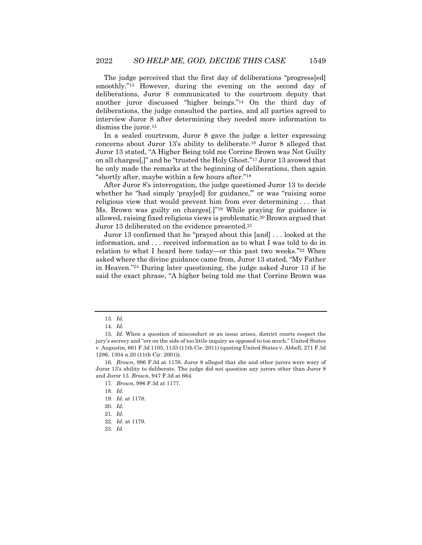The judge perceived that the first day of deliberations "progress[ed] smoothly."<sup>13</sup> However, during the evening on the second day of deliberations, Juror 8 communicated to the courtroom deputy that another juror discussed "higher beings."14 On the third day of deliberations, the judge consulted the parties, and all parties agreed to interview Juror 8 after determining they needed more information to dismiss the juror.<sup>15</sup>

In a sealed courtroom, Juror 8 gave the judge a letter expressing concerns about Juror 13's ability to deliberate.16 Juror 8 alleged that Juror 13 stated, "A Higher Being told me Corrine Brown was Not Guilty on all charges[,]" and he "trusted the Holy Ghost."17 Juror 13 avowed that he only made the remarks at the beginning of deliberations, then again "shortly after, maybe within a few hours after."18

After Juror 8's interrogation, the judge questioned Juror 13 to decide whether he "had simply 'pray[ed] for guidance," or was "raising some religious view that would prevent him from ever determining . . . that Ms. Brown was guilty on charges[.]"19 While praying for guidance is allowed, raising fixed religious views is problematic.20 Brown argued that Juror 13 deliberated on the evidence presented.21

Juror 13 confirmed that he "prayed about this [and] . . . looked at the information, and . . . received information as to what I was told to do in relation to what I heard here today—or this past two weeks."22 When asked where the divine guidance came from, Juror 13 stated, "My Father in Heaven."23 During later questioning, the judge asked Juror 13 if he said the exact phrase, "A higher being told me that Corrine Brown was

<sup>13</sup>*. Id.*

<sup>14</sup>*. Id.*

<sup>15</sup>*. Id.* When a question of misconduct or an issue arises, district courts respect the jury's secrecy and "err on the side of too little inquiry as opposed to too much." United States v. Augustin, 661 F.3d 1105, 1133 (11th Cir. 2011) (quoting United States v. Abbell, 271 F.3d 1286, 1304 n.20 (11th Cir. 2001)).

<sup>16</sup>*. Brown*, 996 F.3d at 1176. Juror 8 alleged that she and other jurors were wary of Juror 13's ability to deliberate. The judge did not question any jurors other than Juror 8 and Juror 13. *Brown*, 947 F.3d at 664*.* 

<sup>17</sup>*. Brown*, 996 F.3d at 1177*.*

<sup>18</sup>*. Id.*

<sup>19</sup>*. Id.* at 1178.

<sup>20</sup>*. Id.*

<sup>21</sup>*. Id*.

<sup>22</sup>*. Id.* at 1179.

<sup>23</sup>*. Id.*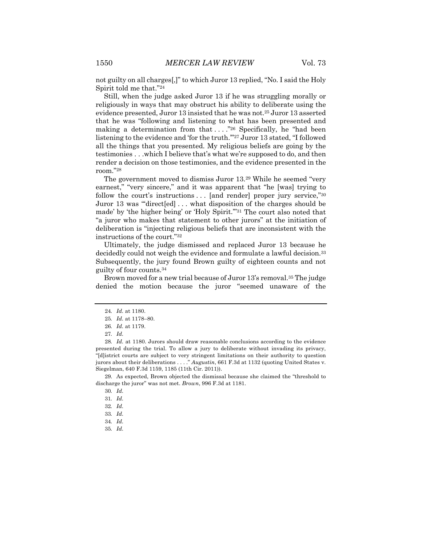not guilty on all charges[,]" to which Juror 13 replied, "No. I said the Holy Spirit told me that."24

Still, when the judge asked Juror 13 if he was struggling morally or religiously in ways that may obstruct his ability to deliberate using the evidence presented, Juror 13 insisted that he was not.25 Juror 13 asserted that he was "following and listening to what has been presented and making a determination from that  $\dots$  <sup>26</sup> Specifically, he "had been" listening to the evidence and 'for the truth.'"27 Juror 13 stated, "I followed all the things that you presented. My religious beliefs are going by the testimonies . . .which I believe that's what we're supposed to do, and then render a decision on those testimonies, and the evidence presented in the room."28

The government moved to dismiss Juror 13.29 While he seemed "very earnest," "very sincere," and it was apparent that "he [was] trying to follow the court's instructions . . . [and render] proper jury service,"<sup>30</sup> Juror 13 was "'direct[ed] . . . what disposition of the charges should be made' by 'the higher being' or 'Holy Spirit.'"31 The court also noted that "a juror who makes that statement to other jurors" at the initiation of deliberation is "injecting religious beliefs that are inconsistent with the instructions of the court."32

Ultimately, the judge dismissed and replaced Juror 13 because he decidedly could not weigh the evidence and formulate a lawful decision.<sup>33</sup> Subsequently, the jury found Brown guilty of eighteen counts and not guilty of four counts.34

Brown moved for a new trial because of Juror 13's removal.<sup>35</sup> The judge denied the motion because the juror "seemed unaware of the

29. As expected, Brown objected the dismissal because she claimed the "threshold to discharge the juror" was not met. *Brown*, 996 F.3d at 1181.

35*. Id.*

<sup>24</sup>*. Id.* at 1180.

<sup>25</sup>*. Id.* at 1178–80.

<sup>26</sup>*. Id.* at 1179.

<sup>27</sup>*. Id.*

<sup>28</sup>*. Id.* at 1180. Jurors should draw reasonable conclusions according to the evidence presented during the trial. To allow a jury to deliberate without invading its privacy, "[d]istrict courts are subject to very stringent limitations on their authority to question jurors about their deliberations . . . ." *Augustin*, 661 F.3d at 1132 (quoting United States v. Siegelman, 640 F.3d 1159, 1185 (11th Cir. 2011)).

<sup>30</sup>*. Id.*

<sup>31</sup>*. Id.*

<sup>32</sup>*. Id.*

<sup>33</sup>*. Id.*

<sup>34</sup>*. Id.*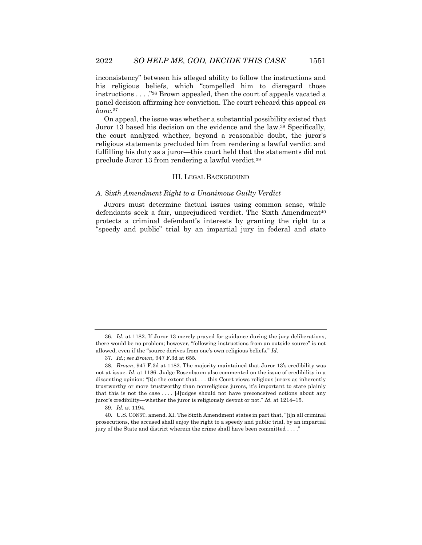inconsistency" between his alleged ability to follow the instructions and his religious beliefs, which "compelled him to disregard those instructions . . . ."36 Brown appealed, then the court of appeals vacated a panel decision affirming her conviction. The court reheard this appeal *en banc*.37

On appeal, the issue was whether a substantial possibility existed that Juror 13 based his decision on the evidence and the law.38 Specifically, the court analyzed whether, beyond a reasonable doubt, the juror's religious statements precluded him from rendering a lawful verdict and fulfilling his duty as a juror—this court held that the statements did not preclude Juror 13 from rendering a lawful verdict.39

#### III. LEGAL BACKGROUND

#### *A. Sixth Amendment Right to a Unanimous Guilty Verdict*

Jurors must determine factual issues using common sense, while defendants seek a fair, unprejudiced verdict. The Sixth Amendment<sup>40</sup> protects a criminal defendant's interests by granting the right to a "speedy and public" trial by an impartial jury in federal and state

<sup>36</sup>*. Id*. at 1182. If Juror 13 merely prayed for guidance during the jury deliberations, there would be no problem; however, "following instructions from an outside source" is not allowed, even if the "source derives from one's own religious beliefs." *Id*.

<sup>37</sup>*. Id.*; *see Brown*, 947 F.3d at 655.

<sup>38</sup>*. Brown*, 947 F.3d at 1182. The majority maintained that Juror 13's credibility was not at issue. *Id*. at 1186. Judge Rosenbaum also commented on the issue of credibility in a dissenting opinion: "[t]o the extent that . . . this Court views religious jurors as inherently trustworthy or more trustworthy than nonreligious jurors, it's important to state plainly that this is not the case . . . . [J]udges should not have preconceived notions about any juror's credibility—whether the juror is religiously devout or not." *Id.* at 1214–15.

<sup>39</sup>*. Id.* at 1194.

<sup>40.</sup> U.S. CONST. amend. XI. The Sixth Amendment states in part that, "[i]n all criminal prosecutions, the accused shall enjoy the right to a speedy and public trial, by an impartial jury of the State and district wherein the crime shall have been committed . . . ."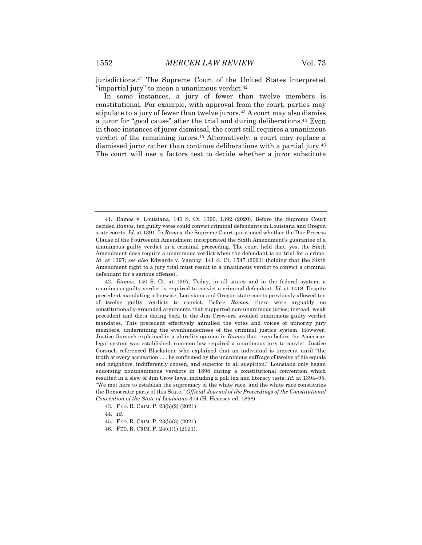jurisdictions.41 The Supreme Court of the United States interpreted "impartial jury" to mean a unanimous verdict.<sup>42</sup>

In some instances, a jury of fewer than twelve members is constitutional. For example, with approval from the court, parties may stipulate to a jury of fewer than twelve jurors.<sup>43</sup> A court may also dismiss a juror for "good cause" after the trial and during deliberations.44 Even in those instances of juror dismissal, the court still requires a unanimous verdict of the remaining jurors.45 Alternatively, a court may replace a dismissed juror rather than continue deliberations with a partial jury.46 The court will use a factors test to decide whether a juror substitute

44*. Id*.

<sup>41.</sup> Ramos v. Louisiana, 140 S. Ct. 1390, 1392 (2020). Before the Supreme Court decided *Ramos*, ten guilty votes could convict criminal defendants in Louisiana and Oregon state courts. *Id.* at 1391. In *Ramos*, the Supreme Court questioned whether the Due Process Clause of the Fourteenth Amendment incorporated the Sixth Amendment's guarantee of a unanimous guilty verdict in a criminal proceeding. The court held that, yes, the Sixth Amendment does require a unanimous verdict when the defendant is on trial for a crime. *Id.* at 1397; *see also* Edwards v. Vannoy, 141 S. Ct. 1547 (2021) (holding that the Sixth Amendment right to a jury trial must result in a unanimous verdict to convict a criminal defendant for a serious offense).

<sup>42</sup>*. Ramos*, 140 S. Ct*.* at 1397. Today, in all states and in the federal system, a unanimous guilty verdict is required to convict a criminal defendant. *Id.* at 1418. Despite precedent mandating otherwise, Louisiana and Oregon state courts previously allowed ten of twelve guilty verdicts to convict. Before *Ramos*, there were arguably no constitutionally-grounded arguments that supported non-unanimous juries; instead, weak precedent and dicta dating back to the Jim Crow-era avoided unanimous guilty verdict mandates. This precedent effectively annulled the votes and voices of minority jury members, undermining the evenhandedness of the criminal justice system. However, Justice Gorsuch explained in a plurality opinion in *Ramos* that, even before the American legal system was established, common law required a unanimous jury to convict. Justice Gorsuch referenced Blackstone who explained that an individual is innocent until "the truth of every accusation . . . be confirmed by the unanimous suffrage of twelve of his equals and neighbors, indifferently chosen, and superior to all suspicion." Louisiana only began endorsing nonunanimous verdicts in 1898 during a constitutional convention which resulted in a slew of Jim Crow laws, including a poll tax and literacy tests. *Id.* at 1394–95. "We met here to establish the supremacy of the white race, and the white race constitutes the Democratic party of this State." *Official Journal of the Proceedings of the Constitutional Convention of the State of Louisiana* 374 (H. Hearsey ed. 1898).

<sup>43.</sup> FED. R. CRIM. P. 23(b)(2) (2021).

<sup>45.</sup> FED. R. CRIM. P. 23(b)(3) (2021).

<sup>46.</sup> FED. R. CRIM. P. 24(c)(1) (2021).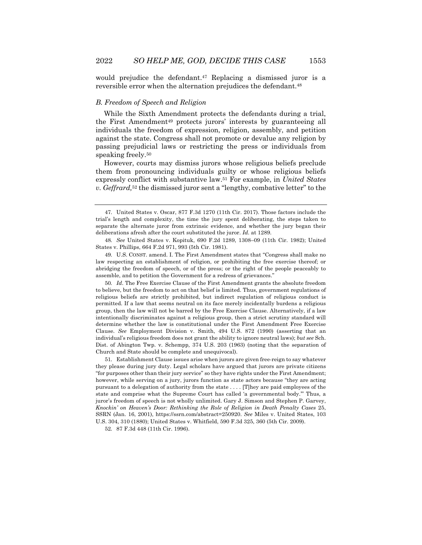would prejudice the defendant.47 Replacing a dismissed juror is a reversible error when the alternation prejudices the defendant.48

#### *B. Freedom of Speech and Religion*

While the Sixth Amendment protects the defendants during a trial, the First Amendment49 protects jurors' interests by guaranteeing all individuals the freedom of expression, religion, assembly, and petition against the state. Congress shall not promote or devalue any religion by passing prejudicial laws or restricting the press or individuals from speaking freely.50

However, courts may dismiss jurors whose religious beliefs preclude them from pronouncing individuals guilty or whose religious beliefs expressly conflict with substantive law.51 For example, in *United States v. Geffrard,*<sup>52</sup> the dismissed juror sent a "lengthy, combative letter" to the

50*. Id*. The Free Exercise Clause of the First Amendment grants the absolute freedom to believe, but the freedom to act on that belief is limited. Thus, government regulations of religious beliefs are strictly prohibited, but indirect regulation of religious conduct is permitted. If a law that seems neutral on its face merely incidentally burdens a religious group, then the law will not be barred by the Free Exercise Clause. Alternatively, if a law intentionally discriminates against a religious group, then a strict scrutiny standard will determine whether the law is constitutional under the First Amendment Free Exercise Clause. *See* Employment Division v. Smith, 494 U.S. 872 (1990) (asserting that an individual's religious freedom does not grant the ability to ignore neutral laws); *but see* Sch. Dist. of Abington Twp. v. Schempp*,* 374 U.S. 203 (1963) (noting that the separation of Church and State should be complete and unequivocal).

51. Establishment Clause issues arise when jurors are given free-reign to say whatever they please during jury duty. Legal scholars have argued that jurors are private citizens "for purposes other than their jury service" so they have rights under the First Amendment; however, while serving on a jury, jurors function as state actors because "they are acting pursuant to a delegation of authority from the state . . . . [T]hey are paid employees of the state and comprise what the Supreme Court has called 'a governmental body.'" Thus, a juror's freedom of speech is not wholly unlimited. Gary J. Simson and Stephen P. Garvey, *Knockin' on Heaven's Door: Rethinking the Role of Religion in Death Penalty Cases* 25, SSRN (Jan. 16, 2001), https://ssrn.com/abstract=250920. *See* Miles v. United States, 103 U.S. 304, 310 (1880); United States v. Whitfield, 590 F.3d 325, 360 (5th Cir. 2009).

52. 87 F.3d 448 (11th Cir. 1996).

<sup>47.</sup> United States v. Oscar, 877 F.3d 1270 (11th Cir. 2017). Those factors include the trial's length and complexity, the time the jury spent deliberating, the steps taken to separate the alternate juror from extrinsic evidence, and whether the jury began their deliberations afresh after the court substituted the juror. *Id.* at 1289.

<sup>48</sup>*. See* United States v. Kopituk, 690 F.2d 1289, 1308–09 (11th Cir. 1982); United States v. Phillips, 664 F.2d 971, 993 (5th Cir. 1981).

<sup>49.</sup> U.S. CONST. amend. I. The First Amendment states that "Congress shall make no law respecting an establishment of religion, or prohibiting the free exercise thereof; or abridging the freedom of speech, or of the press; or the right of the people peaceably to assemble, and to petition the Government for a redress of grievances."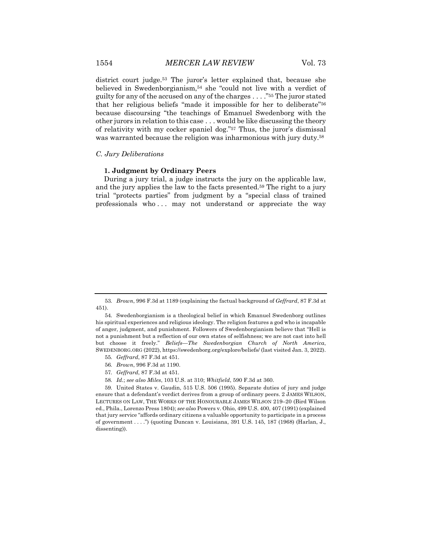district court judge.53 The juror's letter explained that, because she believed in Swedenborgianism,<sup>54</sup> she "could not live with a verdict of guilty for any of the accused on any of the charges . . . ."55 The juror stated that her religious beliefs "made it impossible for her to deliberate"56 because discoursing "the teachings of Emanuel Swedenborg with the other jurors in relation to this case . . . would be like discussing the theory of relativity with my cocker spaniel dog."57 Thus, the juror's dismissal was warranted because the religion was inharmonious with jury duty.<sup>58</sup>

#### *C. Jury Deliberations*

#### **1. Judgment by Ordinary Peers**

During a jury trial, a judge instructs the jury on the applicable law, and the jury applies the law to the facts presented.59 The right to a jury trial "protects parties" from judgment by a "special class of trained professionals who ... may not understand or appreciate the way

- 55*. Geffrard*, 87 F.3d at 451.
- 56*. Brown*, 996 F.3d at 1190.
- 57*. Geffrard*, 87 F.3d at 451.
- 58*. Id.*; *see also Miles*, 103 U.S. at 310; *Whitfield*, 590 F.3d at 360.

59. United States v. Gaudin, 515 U.S. 506 (1995). Separate duties of jury and judge ensure that a defendant's verdict derives from a group of ordinary peers. 2 JAMES WILSON, LECTURES ON LAW, THE WORKS OF THE HONOURABLE JAMES WILSON 219–20 (Bird Wilson ed., Phila., Lorenzo Press 1804); *see also* Powers v. Ohio, 499 U.S. 400, 407 (1991) (explained that jury service "affords ordinary citizens a valuable opportunity to participate in a process of government . . . .") (quoting Duncan v. Louisiana, 391 U.S. 145, 187 (1968) (Harlan, J., dissenting)).

<sup>53</sup>*. Brown*, 996 F.3d at 1189 (explaining the factual background of *Geffrard*, 87 F.3d at 451).

<sup>54.</sup> Swedenborgianism is a theological belief in which Emanuel Swedenborg outlines his spiritual experiences and religious ideology. The religion features a god who is incapable of anger, judgment, and punishment. Followers of Swedenborgianism believe that "Hell is not a punishment but a reflection of our own states of selfishness; we are not cast into hell but choose it freely." *Beliefs—The Swedenborgian Church of North America*, SWEDENBORG.ORG (2022), https://swedenborg.org/explore/beliefs/ (last visited Jan. 3, 2022).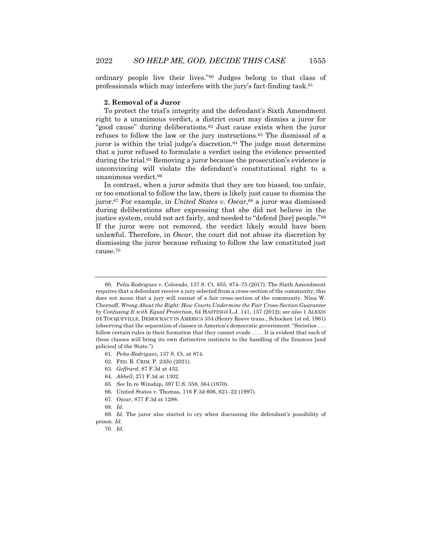ordinary people live their lives."60 Judges belong to that class of professionals which may interfere with the jury's fact-finding task.61

#### **2. Removal of a Juror**

To protect the trial's integrity and the defendant's Sixth Amendment right to a unanimous verdict, a district court may dismiss a juror for "good cause" during deliberations.62 Just cause exists when the juror refuses to follow the law or the jury instructions.63 The dismissal of a juror is within the trial judge's discretion.<sup>64</sup> The judge must determine that a juror refused to formulate a verdict using the evidence presented during the trial.65 Removing a juror because the prosecution's evidence is unconvincing will violate the defendant's constitutional right to a unanimous verdict.66

In contrast, when a juror admits that they are too biased, too unfair, or too emotional to follow the law, there is likely just cause to dismiss the juror.67 For example, in *United States v. Oscar*,68 a juror was dismissed during deliberations after expressing that she did not believe in the justice system, could not act fairly, and needed to "defend [her] people."69 If the juror were not removed, the verdict likely would have been unlawful. Therefore, in *Oscar*, the court did not abuse its discretion by dismissing the juror because refusing to follow the law constituted just cause.70

<sup>60.</sup> Peña-Rodriguez v. Colorado*,* 137 S. Ct. 855, 874–75 (2017). The Sixth Amendment requires that a defendant receive a jury selected from a cross-section of the community; this does not mean that a jury will consist of a fair cross-section of the community. Nina W. Chernoff, *Wrong About the Right: How Courts Undermine the Fair Cross-Section Guarantee by Confusing It with Equal Protection*, 64 HASTINGS L.J. 141, 157 (2012); *see also* 1 ALEXIS DE TOCQUEVILLE, DEMOCRACY IN AMERICA 334 (Henry Reeve trans., Schocken 1st ed. 1961) (observing that the separation of classes in America's democratic government: "Societies . . . follow certain rules in their formation that they cannot evade . . . . It is evident that each of these classes will bring its own distinctive instincts to the handling of the finances [and policies] of the State.")

<sup>61</sup>*. Peña-Rodriguez*, 137 S. Ct. at 874.

<sup>62.</sup> FED. R. CRIM. P. 23(b) (2021).

<sup>63</sup>*. Geffrard*, 87 F.3d at 452.

<sup>64</sup>*. Abbell*, 271 F.3d at 1302.

<sup>65</sup>*. See* In re Winship, 397 U.S. 358, 364 (1970).

<sup>66.</sup> United States v. Thomas, 116 F.3d 606, 621–22 (1997).

<sup>67</sup>*. Oscar*, 877 F.3d at 1288.

<sup>68</sup>*. Id.*

<sup>69</sup>*. Id.* The juror also started to cry when discussing the defendant's possibility of prison. *Id.*

<sup>70</sup>*. Id*.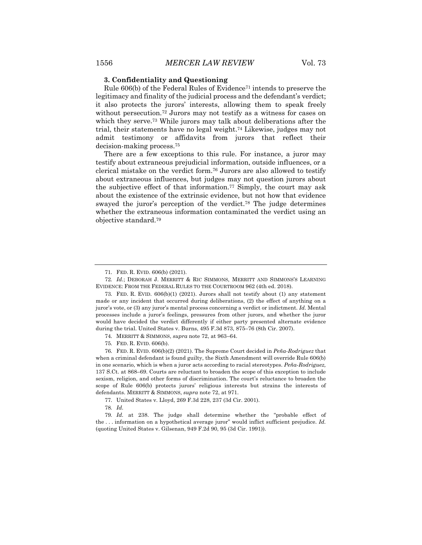#### **3. Confidentiality and Questioning**

Rule 606(b) of the Federal Rules of Evidence71 intends to preserve the legitimacy and finality of the judicial process and the defendant's verdict; it also protects the jurors' interests, allowing them to speak freely without persecution.72 Jurors may not testify as a witness for cases on which they serve.<sup>73</sup> While jurors may talk about deliberations after the trial, their statements have no legal weight.74 Likewise, judges may not admit testimony or affidavits from jurors that reflect their decision-making process.75

There are a few exceptions to this rule. For instance, a juror may testify about extraneous prejudicial information, outside influences, or a clerical mistake on the verdict form.76 Jurors are also allowed to testify about extraneous influences, but judges may not question jurors about the subjective effect of that information.<sup>77</sup> Simply, the court may ask about the existence of the extrinsic evidence, but not how that evidence swayed the juror's perception of the verdict.78 The judge determines whether the extraneous information contaminated the verdict using an objective standard.79

77. United States v. Lloyd, 269 F.3d 228, 237 (3d Cir. 2001).

78*. Id.*

79*. Id.* at 238. The judge shall determine whether the "probable effect of the . . . information on a hypothetical average juror" would inflict sufficient prejudice. *Id.* (quoting United States v. Gilsenan, 949 F.2d 90, 95 (3d Cir. 1991)).

<sup>71.</sup> FED. R. EVID. 606(b) (2021).

<sup>72</sup>*. Id.*; DEBORAH J. MERRITT & RIC SIMMONS, MERRITT AND SIMMONS'S LEARNING EVIDENCE: FROM THE FEDERAL RULES TO THE COURTROOM 962 (4th ed. 2018).

<sup>73.</sup> FED. R. EVID. 606(b)(1) (2021). Jurors shall not testify about (1) any statement made or any incident that occurred during deliberations, (2) the effect of anything on a juror's vote, or (3) any juror's mental process concerning a verdict or indictment. *Id.* Mental processes include a juror's feelings, pressures from other jurors, and whether the juror would have decided the verdict differently if either party presented alternate evidence during the trial. United States v. Burns, 495 F.3d 873, 875–76 (8th Cir. 2007).

<sup>74.</sup> MERRITT & SIMMONS, *supra* note 72, at 963–64.

<sup>75.</sup> FED. R. EVID. 606(b).

<sup>76.</sup> FED. R. EVID. 606(b)(2) (2021). The Supreme Court decided in *Peña-Rodriguez* that when a criminal defendant is found guilty, the Sixth Amendment will override Rule 606(b) in one scenario, which is when a juror acts according to racial stereotypes. *Peña-Rodriguez,* 137 S.Ct. at 868–69. Courts are reluctant to broaden the scope of this exception to include sexism, religion, and other forms of discrimination. The court's reluctance to broaden the scope of Rule 606(b) protects jurors' religious interests but strains the interests of defendants. MERRITT & SIMMONS, *supra* note 72, at 971.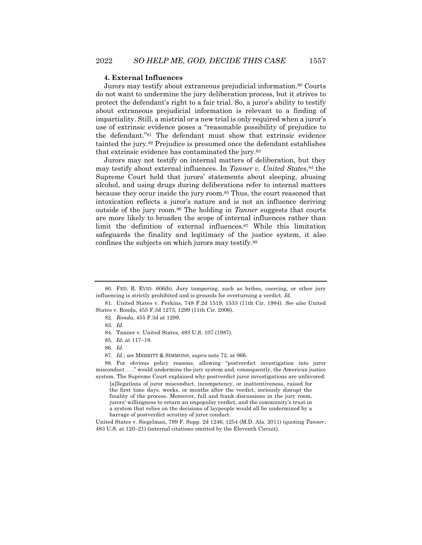#### **4. External Influences**

Jurors may testify about extraneous prejudicial information.80 Courts do not want to undermine the jury deliberation process, but it strives to protect the defendant's right to a fair trial. So, a juror's ability to testify about extraneous prejudicial information is relevant to a finding of impartiality. Still, a mistrial or a new trial is only required when a juror's use of extrinsic evidence poses a "reasonable possibility of prejudice to the defendant."81 The defendant must show that extrinsic evidence tainted the jury.82 Prejudice is presumed once the defendant establishes that extrinsic evidence has contaminated the jury.83

Jurors may not testify on internal matters of deliberation, but they may testify about external influences. In *Tanner v. United States*,84 the Supreme Court held that jurors' statements about sleeping, abusing alcohol, and using drugs during deliberations refer to internal matters because they occur inside the jury room.85 Thus, the court reasoned that intoxication reflects a juror's nature and is not an influence deriving outside of the jury room.86 The holding in *Tanner* suggests that courts are more likely to broaden the scope of internal influences rather than limit the definition of external influences.87 While this limitation safeguards the finality and legitimacy of the justice system, it also confines the subjects on which jurors may testify.88

[a]llegations of juror misconduct, incompetency, or inattentiveness, raised for the first time days, weeks, or months after the verdict, seriously disrupt the finality of the process. Moreover, full and frank discussions in the jury room, jurors' willingness to return an unpopular verdict, and the community's trust in a system that relies on the decisions of laypeople would all be undermined by a barrage of postverdict scrutiny of juror conduct.

United States v. Siegelman, 799 F. Supp. 2d 1246, 1254 (M.D. Ala. 2011) (quoting *Tanner*, 483 U.S. at 120–21) (internal citations omitted by the Eleventh Circuit).

<sup>80.</sup> FED. R. EVID. 606(b). Jury tampering, such as bribes, coercing, or other jury influencing is strictly prohibited and is grounds for overturning a verdict. *Id.*

<sup>81.</sup> United States v. Perkins, 748 F.2d 1519, 1533 (11th Cir. 1984). *See also* United States v. Ronda, 455 F.3d 1273, 1299 (11th Cir. 2006).

<sup>82</sup>*. Ronda*, 455 F.3d at 1299.

<sup>83</sup>*. Id.*

<sup>84.</sup> Tanner v. United States, 483 U.S. 107 (1987).

<sup>85</sup>*. Id.* at 117–19.

<sup>86</sup>*. Id.*

<sup>87</sup>*. Id.*; s*ee* MERRITT & SIMMONS, *supra* note 72, at 966.

<sup>88.</sup> For obvious policy reasons, allowing "postverdict investigation into juror misconduct . . ." would undermine the jury system and, consequently, the American justice system. The Supreme Court explained why postverdict juror investigations are unfavored: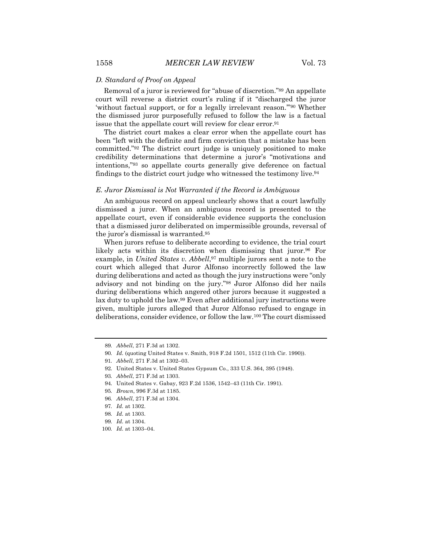#### *D. Standard of Proof on Appeal*

Removal of a juror is reviewed for "abuse of discretion."89 An appellate court will reverse a district court's ruling if it "discharged the juror 'without factual support, or for a legally irrelevant reason.'"90 Whether the dismissed juror purposefully refused to follow the law is a factual issue that the appellate court will review for clear error.<sup>91</sup>

The district court makes a clear error when the appellate court has been "left with the definite and firm conviction that a mistake has been committed."92 The district court judge is uniquely positioned to make credibility determinations that determine a juror's "motivations and intentions,"93 so appellate courts generally give deference on factual findings to the district court judge who witnessed the testimony live.<sup>94</sup>

#### *E. Juror Dismissal is Not Warranted if the Record is Ambiguous*

An ambiguous record on appeal unclearly shows that a court lawfully dismissed a juror. When an ambiguous record is presented to the appellate court, even if considerable evidence supports the conclusion that a dismissed juror deliberated on impermissible grounds, reversal of the juror's dismissal is warranted.95

When jurors refuse to deliberate according to evidence, the trial court likely acts within its discretion when dismissing that juror.96 For example, in *United States v. Abbell*,<sup>97</sup> multiple jurors sent a note to the court which alleged that Juror Alfonso incorrectly followed the law during deliberations and acted as though the jury instructions were "only advisory and not binding on the jury."98 Juror Alfonso did her nails during deliberations which angered other jurors because it suggested a lax duty to uphold the law.99 Even after additional jury instructions were given, multiple jurors alleged that Juror Alfonso refused to engage in deliberations, consider evidence, or follow the law.100 The court dismissed

- 96*. Abbell*, 271 F.3d at 1304.
- 97*. Id.* at 1302.

<sup>89</sup>*. Abbell*, 271 F.3d at 1302.

<sup>90</sup>*. Id.* (quoting United States v. Smith, 918 F.2d 1501, 1512 (11th Cir. 1990)).

<sup>91</sup>*. Abbell*, 271 F.3d at 1302–03.

<sup>92.</sup> United States v. United States Gypsum Co*.*, 333 U.S. 364, 395 (1948).

<sup>93</sup>*. Abbell*, 271 F.3d at 1303.

<sup>94.</sup> United States v. Gabay, 923 F.2d 1536, 1542–43 (11th Cir. 1991).

<sup>95</sup>*. Brown*, 996 F.3d at 1185.

<sup>98</sup>*. Id.* at 1303.

<sup>99</sup>*. Id.* at 1304.

<sup>100</sup>*. Id.* at 1303–04.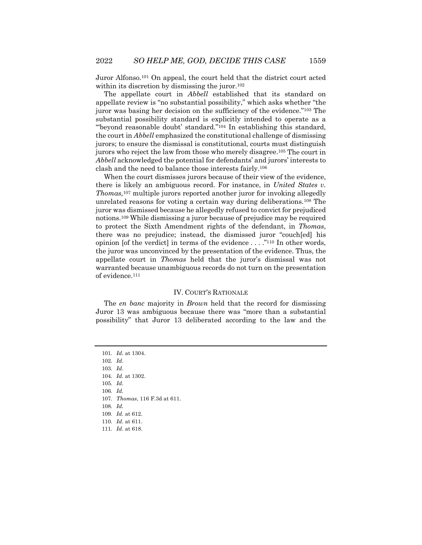Juror Alfonso.101 On appeal, the court held that the district court acted within its discretion by dismissing the juror.<sup>102</sup>

The appellate court in *Abbell* established that its standard on appellate review is "no substantial possibility," which asks whether "the juror was basing her decision on the sufficiency of the evidence."103 The substantial possibility standard is explicitly intended to operate as a "'beyond reasonable doubt' standard."104 In establishing this standard, the court in *Abbell* emphasized the constitutional challenge of dismissing jurors; to ensure the dismissal is constitutional, courts must distinguish jurors who reject the law from those who merely disagree.105 The court in *Abbell* acknowledged the potential for defendants' and jurors' interests to clash and the need to balance those interests fairly.106

When the court dismisses jurors because of their view of the evidence, there is likely an ambiguous record. For instance, in *United States v. Thomas,*<sup>107</sup> multiple jurors reported another juror for invoking allegedly unrelated reasons for voting a certain way during deliberations.108 The juror was dismissed because he allegedly refused to convict for prejudiced notions.109 While dismissing a juror because of prejudice may be required to protect the Sixth Amendment rights of the defendant, in *Thomas*, there was no prejudice; instead, the dismissed juror "couch[ed] his opinion [of the verdict] in terms of the evidence . . . ."110 In other words, the juror was unconvinced by the presentation of the evidence. Thus, the appellate court in *Thomas* held that the juror's dismissal was not warranted because unambiguous records do not turn on the presentation of evidence.111

#### IV. COURT'S RATIONALE

The *en banc* majority in *Brown* held that the record for dismissing Juror 13 was ambiguous because there was "more than a substantial possibility" that Juror 13 deliberated according to the law and the

101*. Id.* at 1304. 102*. Id.* 103*. Id.* 104*. Id.* at 1302. 105*. Id.* 106*. Id.* 107*. Thomas*, 116 F.3d at 611. 108*. Id.* 109*. Id.* at 612. 110*. Id.* at 611. 111*. Id*. at 618.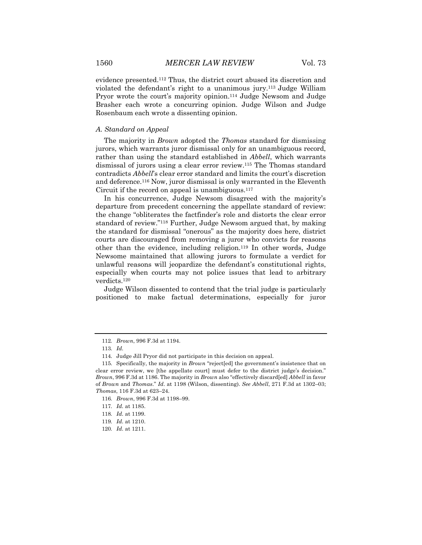evidence presented.112 Thus, the district court abused its discretion and violated the defendant's right to a unanimous jury.113 Judge William Pryor wrote the court's majority opinion.114 Judge Newsom and Judge Brasher each wrote a concurring opinion. Judge Wilson and Judge Rosenbaum each wrote a dissenting opinion.

### *A. Standard on Appeal*

The majority in *Brown* adopted the *Thomas* standard for dismissing jurors, which warrants juror dismissal only for an unambiguous record, rather than using the standard established in *Abbell*, which warrants dismissal of jurors using a clear error review.115 The Thomas standard contradicts *Abbell*'s clear error standard and limits the court's discretion and deference.116 Now, juror dismissal is only warranted in the Eleventh Circuit if the record on appeal is unambiguous. $117$ 

In his concurrence, Judge Newsom disagreed with the majority's departure from precedent concerning the appellate standard of review: the change "obliterates the factfinder's role and distorts the clear error standard of review."118 Further, Judge Newsom argued that, by making the standard for dismissal "onerous" as the majority does here, district courts are discouraged from removing a juror who convicts for reasons other than the evidence, including religion.119 In other words, Judge Newsome maintained that allowing jurors to formulate a verdict for unlawful reasons will jeopardize the defendant's constitutional rights, especially when courts may not police issues that lead to arbitrary verdicts.120

Judge Wilson dissented to contend that the trial judge is particularly positioned to make factual determinations, especially for juror

<sup>112</sup>*. Brown*, 996 F.3d at 1194.

<sup>113</sup>*. Id.*

<sup>114.</sup> Judge Jill Pryor did not participate in this decision on appeal.

<sup>115.</sup> Specifically, the majority in *Brown* "reject[ed] the government's insistence that on clear error review, we [the appellate court] must defer to the district judge's decision." *Brown*, 996 F.3d at 1186. The majority in *Brown* also "effectively discard[ed] *Abbell* in favor of *Brown* and *Thomas*." *Id*. at 1198 (Wilson, dissenting). *See Abbell*, 271 F.3d at 1302–03; *Thomas*, 116 F.3d at 623–24.

<sup>116</sup>*. Brown*, 996 F.3d at 1198–99.

<sup>117</sup>*. Id.* at 1185.

<sup>118</sup>*. Id.* at 1199.

<sup>119</sup>*. Id.* at 1210.

<sup>120</sup>*. Id.* at 1211.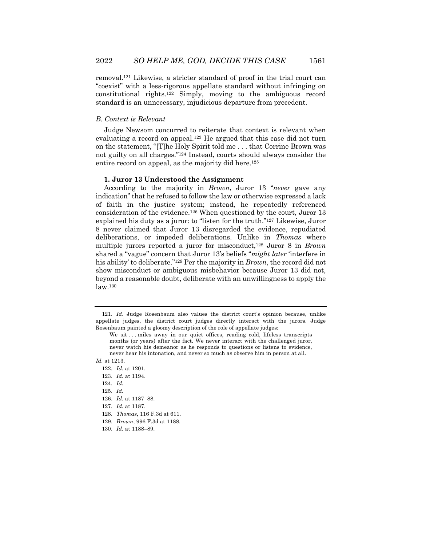removal.121 Likewise, a stricter standard of proof in the trial court can "coexist" with a less-rigorous appellate standard without infringing on constitutional rights.122 Simply, moving to the ambiguous record standard is an unnecessary, injudicious departure from precedent.

#### *B. Context is Relevant*

Judge Newsom concurred to reiterate that context is relevant when evaluating a record on appeal.<sup>123</sup> He argued that this case did not turn on the statement, "[T]he Holy Spirit told me . . . that Corrine Brown was not guilty on all charges."124 Instead, courts should always consider the entire record on appeal, as the majority did here.<sup>125</sup>

#### **1. Juror 13 Understood the Assignment**

According to the majority in *Brown*, Juror 13 "*never* gave any indication" that he refused to follow the law or otherwise expressed a lack of faith in the justice system; instead, he repeatedly referenced consideration of the evidence.126 When questioned by the court, Juror 13 explained his duty as a juror: to "listen for the truth."127 Likewise, Juror 8 never claimed that Juror 13 disregarded the evidence, repudiated deliberations, or impeded deliberations. Unlike in *Thomas* where multiple jurors reported a juror for misconduct,128 Juror 8 in *Brown*  shared a "vague" concern that Juror 13's beliefs "*might later* 'interfere in his ability' to deliberate."129 Per the majority in *Brown*, the record did not show misconduct or ambiguous misbehavior because Juror 13 did not, beyond a reasonable doubt, deliberate with an unwillingness to apply the law.130

*Id.* at 1213.

- 123*. Id.* at 1194.
- 124*. Id.*
- 125*. Id.*
- 126*. Id.* at 1187–88.
- 127*. Id.* at 1187.
- 128*. Thomas*, 116 F.3d at 611.
- 129*. Brown*, 996 F.3d at 1188.
- 130*. Id.* at 1188–89.

<sup>121</sup>*. Id*. Judge Rosenbaum also values the district court's opinion because, unlike appellate judges, the district court judges directly interact with the jurors. Judge Rosenbaum painted a gloomy description of the role of appellate judges:

We sit ... miles away in our quiet offices, reading cold, lifeless transcripts months (or years) after the fact. We never interact with the challenged juror, never watch his demeanor as he responds to questions or listens to evidence, never hear his intonation, and never so much as observe him in person at all.

<sup>122</sup>*. Id.* at 1201.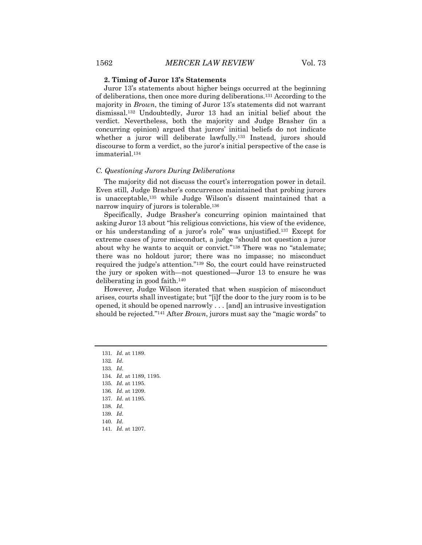#### **2. Timing of Juror 13's Statements**

Juror 13's statements about higher beings occurred at the beginning of deliberations, then once more during deliberations.131 According to the majority in *Brown*, the timing of Juror 13's statements did not warrant dismissal.132 Undoubtedly, Juror 13 had an initial belief about the verdict. Nevertheless, both the majority and Judge Brasher (in a concurring opinion) argued that jurors' initial beliefs do not indicate whether a juror will deliberate lawfully.<sup>133</sup> Instead, jurors should discourse to form a verdict, so the juror's initial perspective of the case is immaterial.134

#### *C. Questioning Jurors During Deliberations*

The majority did not discuss the court's interrogation power in detail. Even still, Judge Brasher's concurrence maintained that probing jurors is unacceptable,135 while Judge Wilson's dissent maintained that a narrow inquiry of jurors is tolerable.<sup>136</sup>

Specifically, Judge Brasher's concurring opinion maintained that asking Juror 13 about "his religious convictions, his view of the evidence, or his understanding of a juror's role" was unjustified.137 Except for extreme cases of juror misconduct, a judge "should not question a juror about why he wants to acquit or convict."138 There was no "stalemate; there was no holdout juror; there was no impasse; no misconduct required the judge's attention."139 So, the court could have reinstructed the jury or spoken with—not questioned—Juror 13 to ensure he was deliberating in good faith.140

However, Judge Wilson iterated that when suspicion of misconduct arises, courts shall investigate; but "[i]f the door to the jury room is to be opened, it should be opened narrowly . . . [and] an intrusive investigation should be rejected."141 After *Brown*, jurors must say the "magic words" to

132*. Id.*

133*. Id.*

134*. Id.* at 1189, 1195.

135*. Id.* at 1195.

136*. Id.* at 1209.

137*. Id.* at 1195.

138*. Id.*

139*. Id.* 140*. Id.*

141*. Id.* at 1207.

<sup>131</sup>*. Id.* at 1189.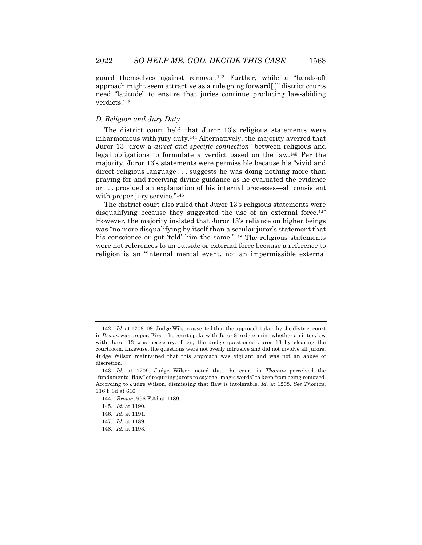guard themselves against removal.142 Further, while a "hands-off approach might seem attractive as a rule going forward[,]" district courts need "latitude" to ensure that juries continue producing law-abiding verdicts.143

#### *D. Religion and Jury Duty*

The district court held that Juror 13's religious statements were inharmonious with jury duty.144 Alternatively, the majority averred that Juror 13 "drew a *direct and specific connection*" between religious and legal obligations to formulate a verdict based on the law.145 Per the majority, Juror 13's statements were permissible because his "vivid and direct religious language . . . suggests he was doing nothing more than praying for and receiving divine guidance as he evaluated the evidence or . . . provided an explanation of his internal processes—all consistent with proper jury service."<sup>146</sup>

The district court also ruled that Juror 13's religious statements were disqualifying because they suggested the use of an external force.<sup>147</sup> However, the majority insisted that Juror 13's reliance on higher beings was "no more disqualifying by itself than a secular juror's statement that his conscience or gut 'told' him the same."<sup>148</sup> The religious statements were not references to an outside or external force because a reference to religion is an "internal mental event, not an impermissible external

144*. Brown*, 996 F.3d at 1189.

<sup>142</sup>*. Id*. at 1208–09. Judge Wilson asserted that the approach taken by the district court in *Brown* was proper. First, the court spoke with Juror 8 to determine whether an interview with Juror 13 was necessary. Then, the Judge questioned Juror 13 by clearing the courtroom. Likewise, the questions were not overly intrusive and did not involve all jurors. Judge Wilson maintained that this approach was vigilant and was not an abuse of discretion.

<sup>143</sup>*. Id.* at 1209. Judge Wilson noted that the court in *Thomas* perceived the "fundamental flaw" of requiring jurors to say the "magic words" to keep from being removed. According to Judge Wilson, dismissing that flaw is intolerable. *Id.* at 1208. *See Thomas*, 116 F.3d at 616.

<sup>145</sup>*. Id.* at 1190.

<sup>146</sup>*. Id*. at 1191.

<sup>147</sup>*. Id.* at 1189.

<sup>148</sup>*. Id.* at 1193.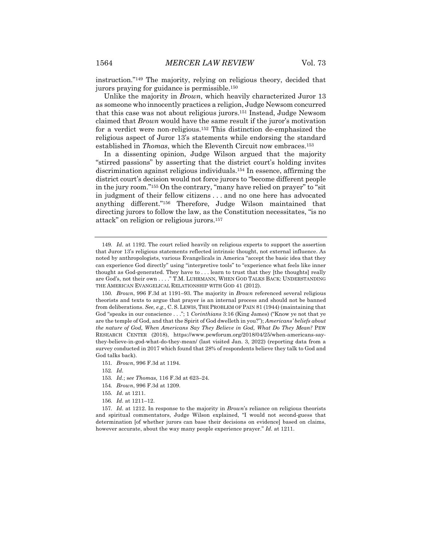instruction."149 The majority, relying on religious theory, decided that jurors praying for guidance is permissible.150

Unlike the majority in *Brown*, which heavily characterized Juror 13 as someone who innocently practices a religion, Judge Newsom concurred that this case was not about religious jurors.151 Instead, Judge Newsom claimed that *Brown* would have the same result if the juror's motivation for a verdict were non-religious.152 This distinction de-emphasized the religious aspect of Juror 13's statements while endorsing the standard established in *Thomas*, which the Eleventh Circuit now embraces.153

In a dissenting opinion, Judge Wilson argued that the majority "stirred passions" by asserting that the district court's holding invites discrimination against religious individuals.154 In essence, affirming the district court's decision would not force jurors to "become different people in the jury room."155 On the contrary, "many have relied on prayer" to "sit in judgment of their fellow citizens . . . and no one here has advocated anything different."156 Therefore, Judge Wilson maintained that directing jurors to follow the law, as the Constitution necessitates, "is no attack" on religion or religious jurors.157

151*. Brown*, 996 F.3d at 1194.

152*. Id.*

- 153*. Id.*; s*ee Thomas,* 116 F.3d at 623–24.
- 154*. Brown*, 996 F.3d at 1209.

156*. Id.* at 1211–12.

157*. Id.* at 1212. In response to the majority in *Brown*'s reliance on religious theorists and spiritual commentators, Judge Wilson explained, "I would not second-guess that determination [of whether jurors can base their decisions on evidence] based on claims, however accurate, about the way many people experience prayer." *Id.* at 1211.

<sup>149</sup>*. Id.* at 1192. The court relied heavily on religious experts to support the assertion that Juror 13's religious statements reflected intrinsic thought, not external influence. As noted by anthropologists, various Evangelicals in America "accept the basic idea that they can experience God directly" using "interpretive tools" to "experience what feels like inner thought as God-generated. They have to . . . learn to trust that they [the thoughts] really are God's, not their own . . . ." T.M. LUHRMANN, WHEN GOD TALKS BACK: UNDERSTANDING THE AMERICAN EVANGELICAL RELATIONSHIP WITH GOD 41 (2012).

<sup>150</sup>*. Brown*, 996 F.3d at 1191–93. The majority in *Brown* referenced several religious theorists and texts to argue that prayer is an internal process and should not be banned from deliberations. *See, e.g.,* C. S. LEWIS, THE PROBLEM OF PAIN 81 (1944) (maintaining that God "speaks in our conscience . . ."; 1 *Corinthians* 3:16 (King James) ("Know ye not that ye are the temple of God, and that the Spirit of God dwelleth in you?"); *Americans' beliefs about the nature of God, When Americans Say They Believe in God, What Do They Mean?* PEW RESEARCH CENTER (2018), https://www.pewforum.org/2018/04/25/when-americans-saythey-believe-in-god-what-do-they-mean/ (last visited Jan. 3, 2022) (reporting data from a survey conducted in 2017 which found that 28% of respondents believe they talk to God and God talks back).

<sup>155</sup>*. Id.* at 1211.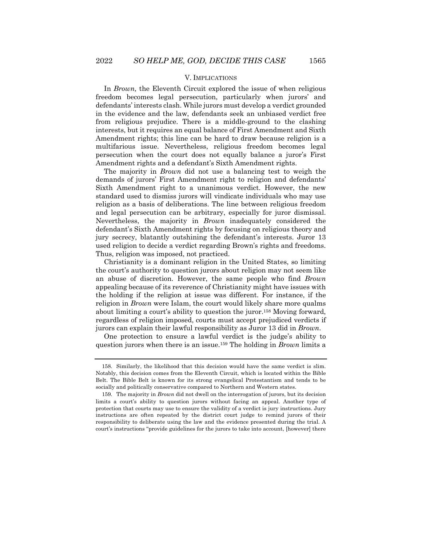#### V. IMPLICATIONS

In *Brown,* the Eleventh Circuit explored the issue of when religious freedom becomes legal persecution, particularly when jurors' and defendants' interests clash. While jurors must develop a verdict grounded in the evidence and the law, defendants seek an unbiased verdict free from religious prejudice. There is a middle-ground to the clashing interests, but it requires an equal balance of First Amendment and Sixth Amendment rights; this line can be hard to draw because religion is a multifarious issue. Nevertheless, religious freedom becomes legal persecution when the court does not equally balance a juror's First Amendment rights and a defendant's Sixth Amendment rights.

The majority in *Brown* did not use a balancing test to weigh the demands of jurors' First Amendment right to religion and defendants' Sixth Amendment right to a unanimous verdict. However, the new standard used to dismiss jurors will vindicate individuals who may use religion as a basis of deliberations. The line between religious freedom and legal persecution can be arbitrary, especially for juror dismissal. Nevertheless, the majority in *Brown* inadequately considered the defendant's Sixth Amendment rights by focusing on religious theory and jury secrecy, blatantly outshining the defendant's interests. Juror 13 used religion to decide a verdict regarding Brown's rights and freedoms. Thus, religion was imposed, not practiced.

Christianity is a dominant religion in the United States, so limiting the court's authority to question jurors about religion may not seem like an abuse of discretion. However, the same people who find *Brown* appealing because of its reverence of Christianity might have issues with the holding if the religion at issue was different. For instance, if the religion in *Brown* were Islam, the court would likely share more qualms about limiting a court's ability to question the juror.158 Moving forward, regardless of religion imposed, courts must accept prejudiced verdicts if jurors can explain their lawful responsibility as Juror 13 did in *Brown*.

One protection to ensure a lawful verdict is the judge's ability to question jurors when there is an issue.159 The holding in *Brown* limits a

<sup>158.</sup> Similarly, the likelihood that this decision would have the same verdict is slim. Notably, this decision comes from the Eleventh Circuit, which is located within the Bible Belt. The Bible Belt is known for its strong evangelical Protestantism and tends to be socially and politically conservative compared to Northern and Western states.

<sup>159.</sup> The majority in *Brown* did not dwell on the interrogation of jurors, but its decision limits a court's ability to question jurors without facing an appeal. Another type of protection that courts may use to ensure the validity of a verdict is jury instructions. Jury instructions are often repeated by the district court judge to remind jurors of their responsibility to deliberate using the law and the evidence presented during the trial. A court's instructions "provide guidelines for the jurors to take into account, [however] there